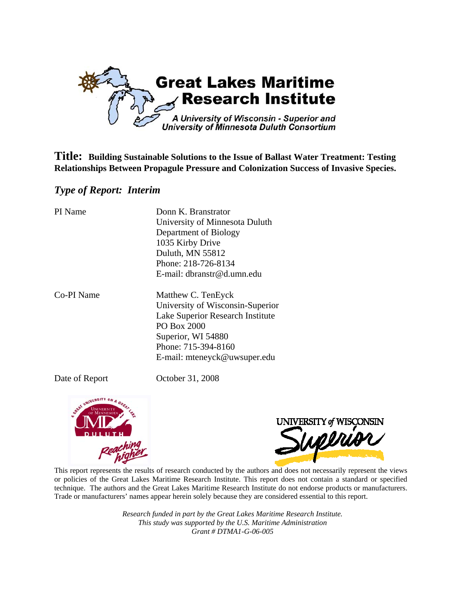

**Title: Building Sustainable Solutions to the Issue of Ballast Water Treatment: Testing Relationships Between Propagule Pressure and Colonization Success of Invasive Species.** 

# *Type of Report: Interim*

| PI Name    | Donn K. Branstrator<br>University of Minnesota Duluth<br>Department of Biology<br>1035 Kirby Drive<br>Duluth, MN 55812<br>Phone: 218-726-8134<br>E-mail: dbranstr@d.umn.edu            |
|------------|----------------------------------------------------------------------------------------------------------------------------------------------------------------------------------------|
| Co-PI Name | Matthew C. TenEyck<br>University of Wisconsin-Superior<br>Lake Superior Research Institute<br>PO Box 2000<br>Superior, WI 54880<br>Phone: 715-394-8160<br>E-mail: mteneyck@uwsuper.edu |

Date of Report October 31, 2008





This report represents the results of research conducted by the authors and does not necessarily represent the views or policies of the Great Lakes Maritime Research Institute. This report does not contain a standard or specified technique. The authors and the Great Lakes Maritime Research Institute do not endorse products or manufacturers. Trade or manufacturers' names appear herein solely because they are considered essential to this report.

> *Research funded in part by the Great Lakes Maritime Research Institute. This study was supported by the U.S. Maritime Administration Grant # DTMA1-G-06-005*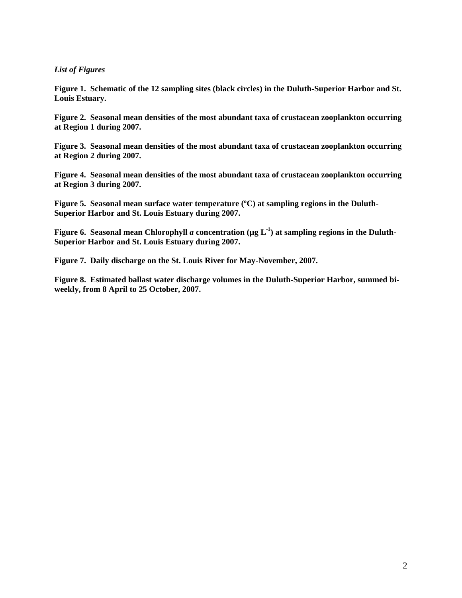# *List of Figures*

**Figure 1. Schematic of the 12 sampling sites (black circles) in the Duluth-Superior Harbor and St. Louis Estuary.** 

**Figure 2. Seasonal mean densities of the most abundant taxa of crustacean zooplankton occurring at Region 1 during 2007.** 

**Figure 3. Seasonal mean densities of the most abundant taxa of crustacean zooplankton occurring at Region 2 during 2007.** 

**Figure 4. Seasonal mean densities of the most abundant taxa of crustacean zooplankton occurring at Region 3 during 2007.** 

**Figure 5. Seasonal mean surface water temperature (ºC) at sampling regions in the Duluth-Superior Harbor and St. Louis Estuary during 2007.** 

**Figure 6.** Seasonal mean Chlorophyll *a* concentration ( $\mu$ g L<sup>-1</sup>) at sampling regions in the Duluth-**Superior Harbor and St. Louis Estuary during 2007.** 

**Figure 7. Daily discharge on the St. Louis River for May-November, 2007.** 

**Figure 8. Estimated ballast water discharge volumes in the Duluth-Superior Harbor, summed biweekly, from 8 April to 25 October, 2007.**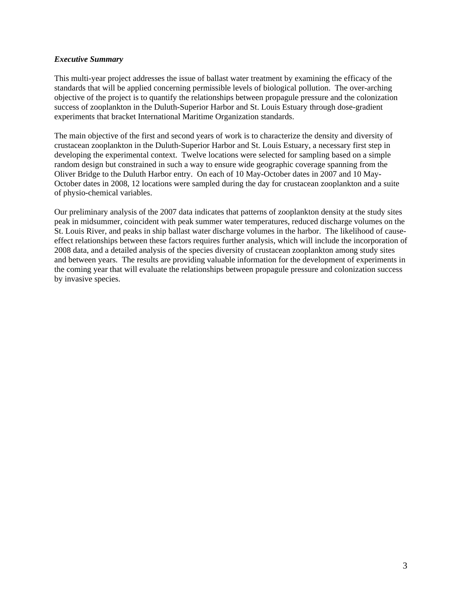# *Executive Summary*

This multi-year project addresses the issue of ballast water treatment by examining the efficacy of the standards that will be applied concerning permissible levels of biological pollution. The over-arching objective of the project is to quantify the relationships between propagule pressure and the colonization success of zooplankton in the Duluth-Superior Harbor and St. Louis Estuary through dose-gradient experiments that bracket International Maritime Organization standards.

The main objective of the first and second years of work is to characterize the density and diversity of crustacean zooplankton in the Duluth-Superior Harbor and St. Louis Estuary, a necessary first step in developing the experimental context. Twelve locations were selected for sampling based on a simple random design but constrained in such a way to ensure wide geographic coverage spanning from the Oliver Bridge to the Duluth Harbor entry. On each of 10 May-October dates in 2007 and 10 May-October dates in 2008, 12 locations were sampled during the day for crustacean zooplankton and a suite of physio-chemical variables.

Our preliminary analysis of the 2007 data indicates that patterns of zooplankton density at the study sites peak in midsummer, coincident with peak summer water temperatures, reduced discharge volumes on the St. Louis River, and peaks in ship ballast water discharge volumes in the harbor. The likelihood of causeeffect relationships between these factors requires further analysis, which will include the incorporation of 2008 data, and a detailed analysis of the species diversity of crustacean zooplankton among study sites and between years. The results are providing valuable information for the development of experiments in the coming year that will evaluate the relationships between propagule pressure and colonization success by invasive species.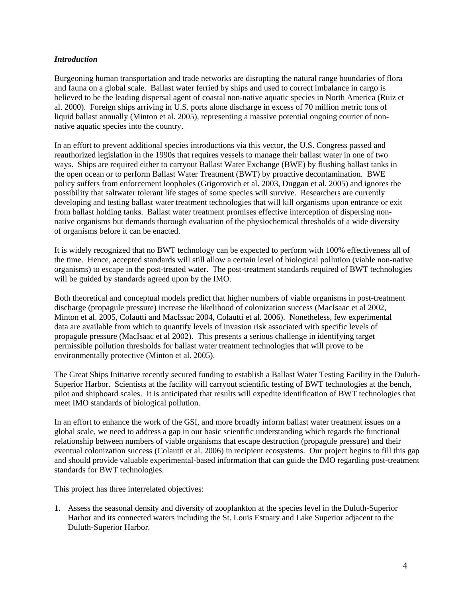# *Introduction*

Burgeoning human transportation and trade networks are disrupting the natural range boundaries of flora and fauna on a global scale. Ballast water ferried by ships and used to correct imbalance in cargo is believed to be the leading dispersal agent of coastal non-native aquatic species in North America (Ruiz et al. 2000). Foreign ships arriving in U.S. ports alone discharge in excess of 70 million metric tons of liquid ballast annually (Minton et al. 2005), representing a massive potential ongoing courier of nonnative aquatic species into the country.

In an effort to prevent additional species introductions via this vector, the U.S. Congress passed and reauthorized legislation in the 1990s that requires vessels to manage their ballast water in one of two ways. Ships are required either to carryout Ballast Water Exchange (BWE) by flushing ballast tanks in the open ocean or to perform Ballast Water Treatment (BWT) by proactive decontamination. BWE policy suffers from enforcement loopholes (Grigorovich et al. 2003, Duggan et al. 2005) and ignores the possibility that saltwater tolerant life stages of some species will survive. Researchers are currently developing and testing ballast water treatment technologies that will kill organisms upon entrance or exit from ballast holding tanks. Ballast water treatment promises effective interception of dispersing nonnative organisms but demands thorough evaluation of the physiochemical thresholds of a wide diversity of organisms before it can be enacted.

It is widely recognized that no BWT technology can be expected to perform with 100% effectiveness all of the time. Hence, accepted standards will still allow a certain level of biological pollution (viable non-native organisms) to escape in the post-treated water. The post-treatment standards required of BWT technologies will be guided by standards agreed upon by the IMO.

Both theoretical and conceptual models predict that higher numbers of viable organisms in post-treatment discharge (propagule pressure) increase the likelihood of colonization success (MacIsaac et al 2002, Minton et al. 2005, Colautti and MacIssac 2004, Colautti et al. 2006). Nonetheless, few experimental data are available from which to quantify levels of invasion risk associated with specific levels of propagule pressure (MacIsaac et al 2002). This presents a serious challenge in identifying target permissible pollution thresholds for ballast water treatment technologies that will prove to be environmentally protective (Minton et al. 2005).

The Great Ships Initiative recently secured funding to establish a Ballast Water Testing Facility in the Duluth-Superior Harbor. Scientists at the facility will carryout scientific testing of BWT technologies at the bench, pilot and shipboard scales. It is anticipated that results will expedite identification of BWT technologies that meet IMO standards of biological pollution.

In an effort to enhance the work of the GSI, and more broadly inform ballast water treatment issues on a global scale, we need to address a gap in our basic scientific understanding which regards the functional relationship between numbers of viable organisms that escape destruction (propagule pressure) and their eventual colonization success (Colautti et al. 2006) in recipient ecosystems. Our project begins to fill this gap and should provide valuable experimental-based information that can guide the IMO regarding post-treatment standards for BWT technologies.

This project has three interrelated objectives:

1. Assess the seasonal density and diversity of zooplankton at the species level in the Duluth-Superior Harbor and its connected waters including the St. Louis Estuary and Lake Superior adjacent to the Duluth-Superior Harbor.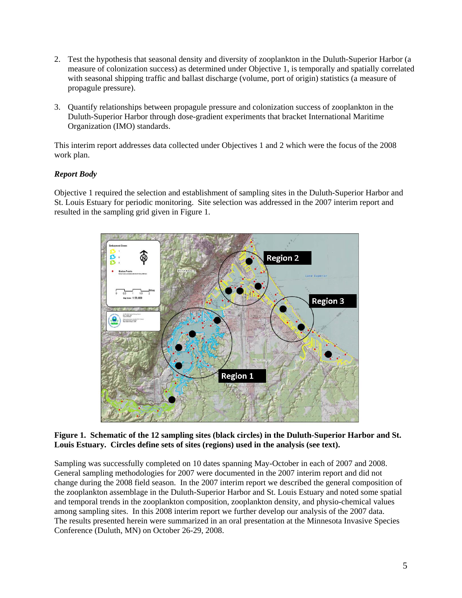- 2. Test the hypothesis that seasonal density and diversity of zooplankton in the Duluth-Superior Harbor (a measure of colonization success) as determined under Objective 1, is temporally and spatially correlated with seasonal shipping traffic and ballast discharge (volume, port of origin) statistics (a measure of propagule pressure).
- 3. Quantify relationships between propagule pressure and colonization success of zooplankton in the Duluth-Superior Harbor through dose-gradient experiments that bracket International Maritime Organization (IMO) standards.

This interim report addresses data collected under Objectives 1 and 2 which were the focus of the 2008 work plan.

# *Report Body*

Objective 1 required the selection and establishment of sampling sites in the Duluth-Superior Harbor and St. Louis Estuary for periodic monitoring. Site selection was addressed in the 2007 interim report and resulted in the sampling grid given in Figure 1.



# **Figure 1. Schematic of the 12 sampling sites (black circles) in the Duluth-Superior Harbor and St. Louis Estuary. Circles define sets of sites (regions) used in the analysis (see text).**

Sampling was successfully completed on 10 dates spanning May-October in each of 2007 and 2008. General sampling methodologies for 2007 were documented in the 2007 interim report and did not change during the 2008 field season. In the 2007 interim report we described the general composition of the zooplankton assemblage in the Duluth-Superior Harbor and St. Louis Estuary and noted some spatial and temporal trends in the zooplankton composition, zooplankton density, and physio-chemical values among sampling sites. In this 2008 interim report we further develop our analysis of the 2007 data. The results presented herein were summarized in an oral presentation at the Minnesota Invasive Species Conference (Duluth, MN) on October 26-29, 2008.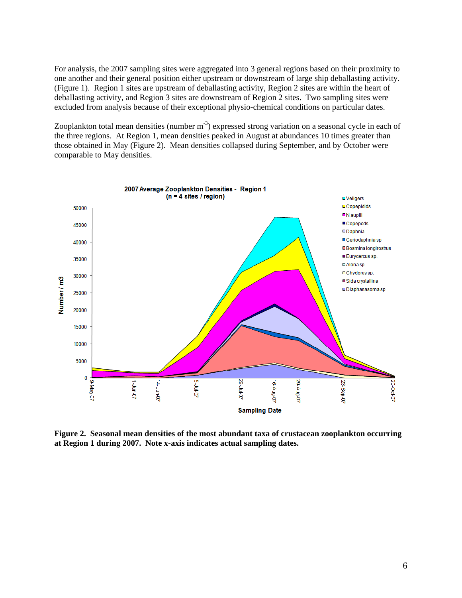For analysis, the 2007 sampling sites were aggregated into 3 general regions based on their proximity to one another and their general position either upstream or downstream of large ship deballasting activity. (Figure 1). Region 1 sites are upstream of deballasting activity, Region 2 sites are within the heart of deballasting activity, and Region 3 sites are downstream of Region 2 sites. Two sampling sites were excluded from analysis because of their exceptional physio-chemical conditions on particular dates.

Zooplankton total mean densities (number m<sup>-3</sup>) expressed strong variation on a seasonal cycle in each of the three regions. At Region 1, mean densities peaked in August at abundances 10 times greater than those obtained in May (Figure 2). Mean densities collapsed during September, and by October were comparable to May densities.



**Figure 2. Seasonal mean densities of the most abundant taxa of crustacean zooplankton occurring at Region 1 during 2007. Note x-axis indicates actual sampling dates.**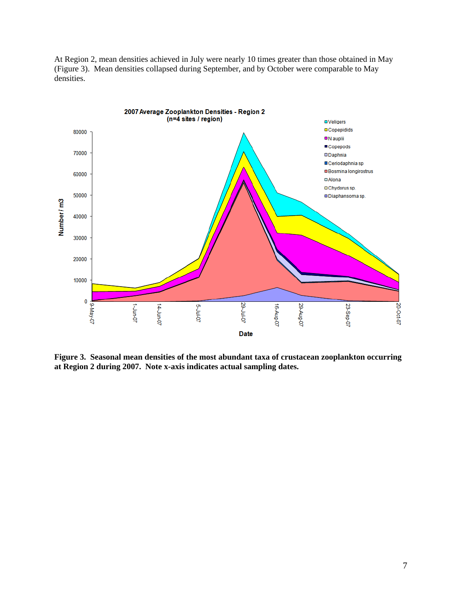At Region 2, mean densities achieved in July were nearly 10 times greater than those obtained in May (Figure 3). Mean densities collapsed during September, and by October were comparable to May densities.



**Figure 3. Seasonal mean densities of the most abundant taxa of crustacean zooplankton occurring at Region 2 during 2007. Note x-axis indicates actual sampling dates.**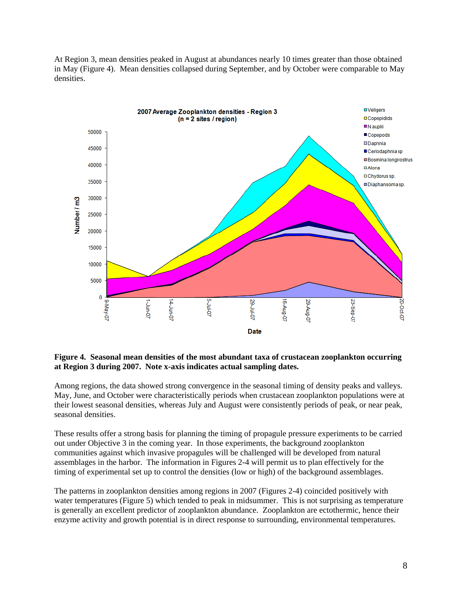At Region 3, mean densities peaked in August at abundances nearly 10 times greater than those obtained in May (Figure 4). Mean densities collapsed during September, and by October were comparable to May densities.



### **Figure 4. Seasonal mean densities of the most abundant taxa of crustacean zooplankton occurring at Region 3 during 2007. Note x-axis indicates actual sampling dates.**

Among regions, the data showed strong convergence in the seasonal timing of density peaks and valleys. May, June, and October were characteristically periods when crustacean zooplankton populations were at their lowest seasonal densities, whereas July and August were consistently periods of peak, or near peak, seasonal densities.

These results offer a strong basis for planning the timing of propagule pressure experiments to be carried out under Objective 3 in the coming year. In those experiments, the background zooplankton communities against which invasive propagules will be challenged will be developed from natural assemblages in the harbor. The information in Figures 2-4 will permit us to plan effectively for the timing of experimental set up to control the densities (low or high) of the background assemblages.

The patterns in zooplankton densities among regions in 2007 (Figures 2-4) coincided positively with water temperatures (Figure 5) which tended to peak in midsummer. This is not surprising as temperature is generally an excellent predictor of zooplankton abundance. Zooplankton are ectothermic, hence their enzyme activity and growth potential is in direct response to surrounding, environmental temperatures.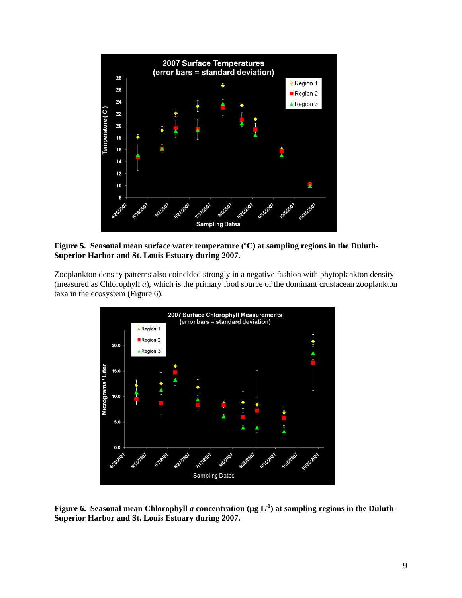

**Figure 5. Seasonal mean surface water temperature (ºC) at sampling regions in the Duluth-Superior Harbor and St. Louis Estuary during 2007.** 

Zooplankton density patterns also coincided strongly in a negative fashion with phytoplankton density (measured as Chlorophyll *a*), which is the primary food source of the dominant crustacean zooplankton taxa in the ecosystem (Figure 6).



**Figure 6.** Seasonal mean Chlorophyll *a* concentration ( $\mu$ g L<sup>-1</sup>) at sampling regions in the Duluth-**Superior Harbor and St. Louis Estuary during 2007.**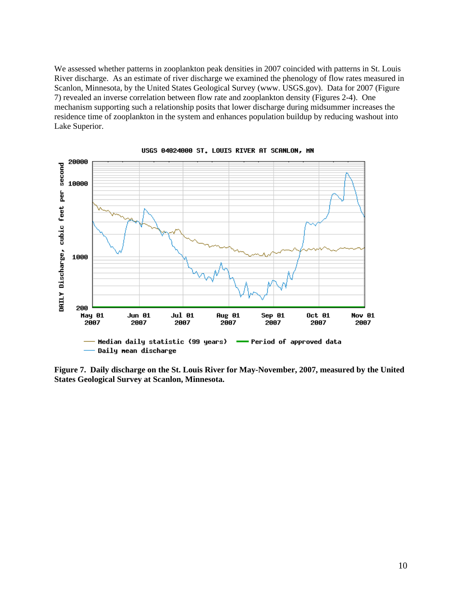We assessed whether patterns in zooplankton peak densities in 2007 coincided with patterns in St. Louis River discharge. As an estimate of river discharge we examined the phenology of flow rates measured in Scanlon, Minnesota, by the United States Geological Survey (www. USGS.gov). Data for 2007 (Figure 7) revealed an inverse correlation between flow rate and zooplankton density (Figures 2-4). One mechanism supporting such a relationship posits that lower discharge during midsummer increases the residence time of zooplankton in the system and enhances population buildup by reducing washout into Lake Superior.



USGS 04024000 ST. LOUIS RIVER AT SCANLON, MN

**Figure 7. Daily discharge on the St. Louis River for May-November, 2007, measured by the United States Geological Survey at Scanlon, Minnesota.**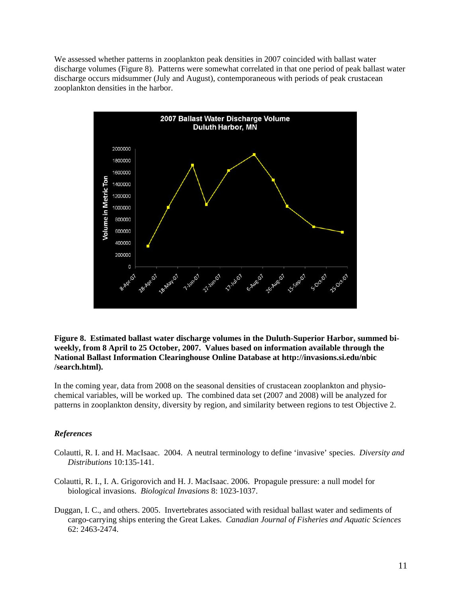We assessed whether patterns in zooplankton peak densities in 2007 coincided with ballast water discharge volumes (Figure 8). Patterns were somewhat correlated in that one period of peak ballast water discharge occurs midsummer (July and August), contemporaneous with periods of peak crustacean zooplankton densities in the harbor.



**Figure 8. Estimated ballast water discharge volumes in the Duluth-Superior Harbor, summed biweekly, from 8 April to 25 October, 2007. Values based on information available through the National Ballast Information Clearinghouse Online Database at http://invasions.si.edu/nbic /search.html).**

In the coming year, data from 2008 on the seasonal densities of crustacean zooplankton and physiochemical variables, will be worked up. The combined data set (2007 and 2008) will be analyzed for patterns in zooplankton density, diversity by region, and similarity between regions to test Objective 2.

#### *References*

- Colautti, R. I. and H. MacIsaac. 2004. A neutral terminology to define 'invasive' species. *Diversity and Distributions* 10:135-141.
- Colautti, R. I., I. A. Grigorovich and H. J. MacIsaac. 2006. Propagule pressure: a null model for biological invasions. *Biological Invasions* 8: 1023-1037.
- Duggan, I. C., and others. 2005. Invertebrates associated with residual ballast water and sediments of cargo-carrying ships entering the Great Lakes. *Canadian Journal of Fisheries and Aquatic Sciences* 62: 2463-2474.